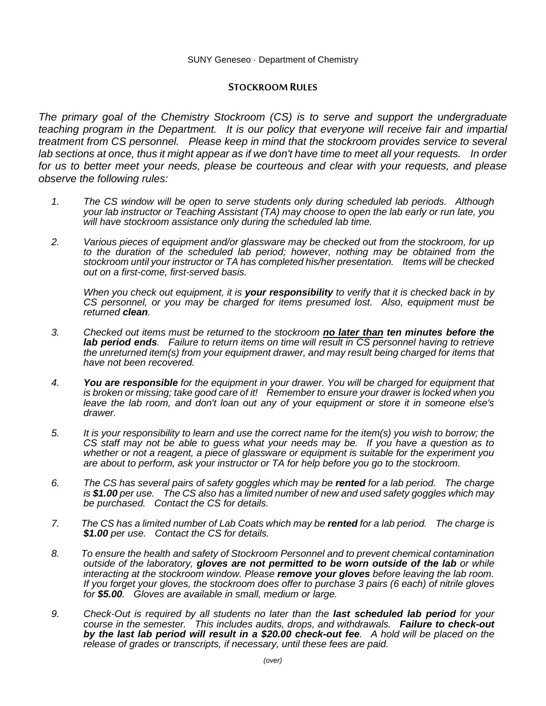## **STOCKROOM RULES**

*The primary goal of the Chemistry Stockroom (CS) is to serve and support the undergraduate teaching program in the Department. It is our policy that everyone will receive fair and impartial treatment from CS personnel. Please keep in mind that the stockroom provides service to several lab sections at once, thus it might appear as if we don't have time to meet all your requests. In order for us to better meet your needs, please be courteous and clear with your requests, and please observe the following rules:* 

- *1. The CS window will be open to serve students only during scheduled lab periods. Although your lab instructor or Teaching Assistant (TA) may choose to open the lab early or run late, you will have stockroom assistance only during the scheduled lab time.*
- *2. Various pieces of equipment and/or glassware may be checked out from the stockroom, for up to the duration of the scheduled lab period; however, nothing may be obtained from the stockroom until your instructor or TA has completed his/her presentation. Items will be checked out on a first-come, first-served basis.*

*When you check out equipment, it is your responsibility to verify that it is checked back in by CS personnel, or you may be charged for items presumed lost. Also, equipment must be returned clean.*

- *3. Checked out items must be returned to the stockroom no later than ten minutes before the lab period ends. Failure to return items on time will result in CS personnel having to retrieve the unreturned item(s) from your equipment drawer, and may result being charged for items that have not been recovered.*
- *4. You are responsible for the equipment in your drawer. You will be charged for equipment that is broken or missing; take good care of it! Remember to ensure your drawer is locked when you leave the lab room, and don't loan out any of your equipment or store it in someone else's drawer.*
- *5. It is your responsibility to learn and use the correct name for the item(s) you wish to borrow; the CS staff may not be able to guess what your needs may be. If you have a question as to whether or not a reagent, a piece of glassware or equipment is suitable for the experiment you are about to perform, ask your instructor or TA for help before you go to the stockroom.*
- *6. The CS has several pairs of safety goggles which may be rented for a lab period. The charge is \$1.00 per use. The CS also has a limited number of new and used safety goggles which may be purchased. Contact the CS for details.*
- *7. The CS has a limited number of Lab Coats which may be rented for a lab period. The charge is \$1.00 per use. Contact the CS for details.*
- *8. To ensure the health and safety of Stockroom Personnel and to prevent chemical contamination outside of the laboratory, gloves are not permitted to be worn outside of the lab or while interacting at the stockroom window. Please remove your gloves before leaving the lab room. If you forget your gloves, the stockroom does offer to purchase 3 pairs (6 each) of nitrile gloves for \$5.00. Gloves are available in small, medium or large.*
- *9. Check-Out is required by all students no later than the last scheduled lab period for your course in the semester. This includes audits, drops, and withdrawals. Failure to check-out by the last lab period will result in a \$20.00 check-out fee. A hold will be placed on the release of grades or transcripts, if necessary, until these fees are paid.*